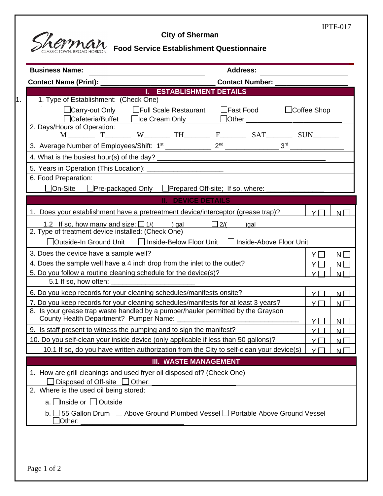

٠.

## **City of Sherman**

IPTF-017

|  | <b>Food Service Establishment Questionnaire</b> |  |
|--|-------------------------------------------------|--|
|--|-------------------------------------------------|--|

| <b>Business Name:</b>                                                                                     |                                            | <b>Address:</b>                     |                    |          |  |  |
|-----------------------------------------------------------------------------------------------------------|--------------------------------------------|-------------------------------------|--------------------|----------|--|--|
| Contact Name (Print): ______________________                                                              | <b>Contact Number:</b> The Contact Number: |                                     |                    |          |  |  |
| <b>Example 12 STABLISHMENT DETAILS</b>                                                                    |                                            |                                     |                    |          |  |  |
| 1. Type of Establishment: (Check One)                                                                     |                                            |                                     |                    |          |  |  |
| □ Carry-out Only □ Full Scale Restaurant                                                                  |                                            | <b>Example Food</b><br>$\Box$ Other | $\Box$ Coffee Shop |          |  |  |
| 2. Days/Hours of Operation:                                                                               |                                            |                                     |                    |          |  |  |
|                                                                                                           |                                            |                                     |                    |          |  |  |
|                                                                                                           |                                            |                                     |                    |          |  |  |
|                                                                                                           |                                            |                                     |                    |          |  |  |
|                                                                                                           |                                            |                                     |                    |          |  |  |
| 6. Food Preparation:                                                                                      |                                            |                                     |                    |          |  |  |
| □Pre-packaged Only □Prepared Off-site; If so, where: ____<br>On-Site                                      |                                            |                                     |                    |          |  |  |
|                                                                                                           | <b>II. DEVICE DETAILS</b>                  |                                     |                    |          |  |  |
| 1. Does your establishment have a pretreatment device/interceptor (grease trap)?                          |                                            |                                     | $Y\Box$            | $N \Box$ |  |  |
| 1.2 If so, how many and size: $\Box$ 1/( ) gal $\Box$ 2/( )gal                                            |                                            |                                     |                    |          |  |  |
| 2. Type of treatment device installed: (Check One)                                                        |                                            |                                     |                    |          |  |  |
| 「Outside-In Ground Unit □ Inside-Below Floor Unit                                                         |                                            | □ Inside-Above Floor Unit           |                    |          |  |  |
| 3. Does the device have a sample well?<br>$Y\Box$<br>N                                                    |                                            |                                     |                    |          |  |  |
| 4. Does the sample well have a 4 inch drop from the inlet to the outlet?<br>$Y\Box$<br>$N\Box$            |                                            |                                     |                    |          |  |  |
| 5. Do you follow a routine cleaning schedule for the device(s)?<br>5.1 If so, how often:                  |                                            |                                     | $Y\Box$            | N        |  |  |
| 6. Do you keep records for your cleaning schedules/manifests onsite?                                      |                                            |                                     | $Y\Box$            | $N\Box$  |  |  |
| 7. Do you keep records for your cleaning schedules/manifests for at least 3 years?<br>$Y\Box$             |                                            |                                     |                    |          |  |  |
| N<br>8. Is your grease trap waste handled by a pumper/hauler permitted by the Grayson                     |                                            |                                     |                    |          |  |  |
| County Health Department? Pumper Name: ____________                                                       |                                            |                                     | $Y\Box$            | $N\Box$  |  |  |
| 9. Is staff present to witness the pumping and to sign the manifest?                                      |                                            |                                     |                    |          |  |  |
| 10. Do you self-clean your inside device (only applicable if less than 50 gallons)?<br>$Y\Box$<br>$N\Box$ |                                            |                                     |                    |          |  |  |
| 10.1 If so, do you have written authorization from the City to self-clean your device(s)                  |                                            |                                     | $Y\Box$            | N        |  |  |
|                                                                                                           | <b>III. WASTE MANAGEMENT</b>               |                                     |                    |          |  |  |
| 1. How are grill cleanings and used fryer oil disposed of? (Check One)                                    |                                            |                                     |                    |          |  |  |
| Disposed of Off-site<br>Other:                                                                            |                                            |                                     |                    |          |  |  |
| 2. Where is the used oil being stored:                                                                    |                                            |                                     |                    |          |  |  |
| a. □Inside or □ Outside                                                                                   |                                            |                                     |                    |          |  |  |
| 55 Gallon Drum $\Box$ Above Ground Plumbed Vessel $\Box$ Portable Above Ground Vessel<br>b. I<br>Other:   |                                            |                                     |                    |          |  |  |
|                                                                                                           |                                            |                                     |                    |          |  |  |